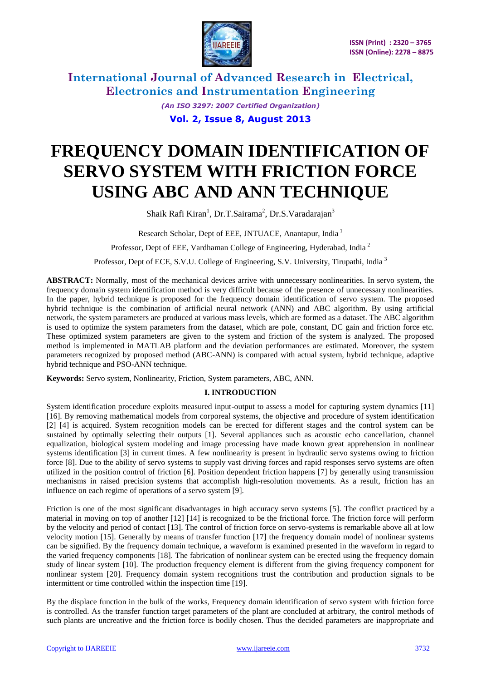

> *(An ISO 3297: 2007 Certified Organization)* **Vol. 2, Issue 8, August 2013**

# **FREQUENCY DOMAIN IDENTIFICATION OF SERVO SYSTEM WITH FRICTION FORCE USING ABC AND ANN TECHNIQUE**

Shaik Rafi Kiran<sup>1</sup>, Dr.T.Sairama<sup>2</sup>, Dr.S.Varadarajan<sup>3</sup>

Research Scholar, Dept of EEE, JNTUACE, Anantapur, India<sup>1</sup>

Professor, Dept of EEE, Vardhaman College of Engineering, Hyderabad, India<sup>2</sup>

Professor, Dept of ECE, S.V.U. College of Engineering, S.V. University, Tirupathi, India <sup>3</sup>

**ABSTRACT:** Normally, most of the mechanical devices arrive with unnecessary nonlinearities. In servo system, the frequency domain system identification method is very difficult because of the presence of unnecessary nonlinearities. In the paper, hybrid technique is proposed for the frequency domain identification of servo system. The proposed hybrid technique is the combination of artificial neural network (ANN) and ABC algorithm. By using artificial network, the system parameters are produced at various mass levels, which are formed as a dataset. The ABC algorithm is used to optimize the system parameters from the dataset, which are pole, constant, DC gain and friction force etc. These optimized system parameters are given to the system and friction of the system is analyzed. The proposed method is implemented in MATLAB platform and the deviation performances are estimated. Moreover, the system parameters recognized by proposed method (ABC-ANN) is compared with actual system, hybrid technique, adaptive hybrid technique and PSO-ANN technique.

**Keywords:** Servo system, Nonlinearity, Friction, System parameters, ABC, ANN.

### **I. INTRODUCTION**

System identification procedure exploits measured input-output to assess a model for capturing system dynamics [11] [16]. By removing mathematical models from corporeal systems, the objective and procedure of system identification [2] [4] is acquired. System recognition models can be erected for different stages and the control system can be sustained by optimally selecting their outputs [1]. Several appliances such as acoustic echo cancellation, channel equalization, biological system modeling and image processing have made known great apprehension in nonlinear systems identification [3] in current times. A few nonlinearity is present in hydraulic servo systems owing to friction force [8]. Due to the ability of servo systems to supply vast driving forces and rapid responses servo systems are often utilized in the position control of friction [6]. Position dependent friction happens [7] by generally using transmission mechanisms in raised precision systems that accomplish high-resolution movements. As a result, friction has an influence on each regime of operations of a servo system [9].

Friction is one of the most significant disadvantages in high accuracy servo systems [5]. The conflict practiced by a material in moving on top of another [12] [14] is recognized to be the frictional force. The friction force will perform by the velocity and period of contact [13]. The control of friction force on servo-systems is remarkable above all at low velocity motion [15]. Generally by means of transfer function [17] the frequency domain model of nonlinear systems can be signified. By the frequency domain technique, a waveform is examined presented in the waveform in regard to the varied frequency components [18]. The fabrication of nonlinear system can be erected using the frequency domain study of linear system [10]. The production frequency element is different from the giving frequency component for nonlinear system [20]. Frequency domain system recognitions trust the contribution and production signals to be intermittent or time controlled within the inspection time [19].

By the displace function in the bulk of the works, Frequency domain identification of servo system with friction force is controlled. As the transfer function target parameters of the plant are concluded at arbitrary, the control methods of such plants are uncreative and the friction force is bodily chosen. Thus the decided parameters are inappropriate and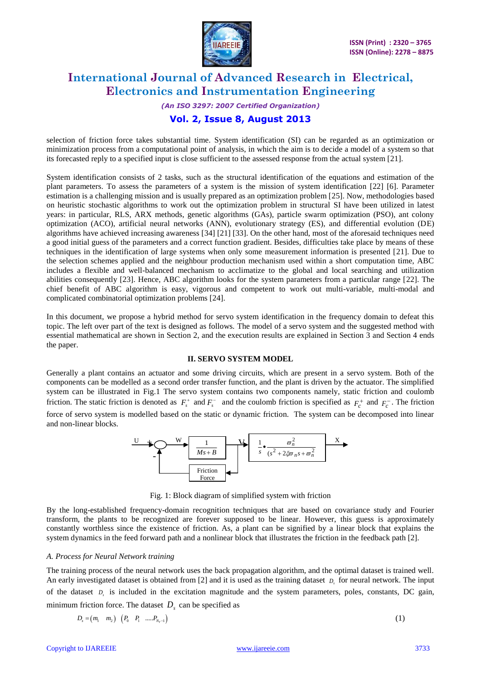

# *(An ISO 3297: 2007 Certified Organization)* **Vol. 2, Issue 8, August 2013**

### selection of friction force takes substantial time. System identification (SI) can be regarded as an optimization or minimization process from a computational point of analysis, in which the aim is to decide a model of a system so that its forecasted reply to a specified input is close sufficient to the assessed response from the actual system [21].

System identification consists of 2 tasks, such as the structural identification of the equations and estimation of the plant parameters. To assess the parameters of a system is the mission of system identification [22] [6]. Parameter estimation is a challenging mission and is usually prepared as an optimization problem [25]. Now, methodologies based on heuristic stochastic algorithms to work out the optimization problem in structural SI have been utilized in latest years: in particular, RLS, ARX methods, genetic algorithms (GAs), particle swarm optimization (PSO), ant colony optimization (ACO), artificial neural networks (ANN), evolutionary strategy (ES), and differential evolution (DE) algorithms have achieved increasing awareness [34] [21] [33]. On the other hand, most of the aforesaid techniques need a good initial guess of the parameters and a correct function gradient. Besides, difficulties take place by means of these techniques in the identification of large systems when only some measurement information is presented [21]. Due to the selection schemes applied and the neighbour production mechanism used within a short computation time, ABC includes a flexible and well-balanced mechanism to acclimatize to the global and local searching and utilization abilities consequently [23]. Hence, ABC algorithm looks for the system parameters from a particular range [22]. The chief benefit of ABC algorithm is easy, vigorous and competent to work out multi-variable, multi-modal and complicated combinatorial optimization problems [24].

In this document, we propose a hybrid method for servo system identification in the frequency domain to defeat this topic. The left over part of the text is designed as follows. The model of a servo system and the suggested method with essential mathematical are shown in Section 2, and the execution results are explained in Section 3 and Section 4 ends the paper.

### **II. SERVO SYSTEM MODEL**

Generally a plant contains an actuator and some driving circuits, which are present in a servo system. Both of the components can be modelled as a second order transfer function, and the plant is driven by the actuator. The simplified system can be illustrated in Fig.1 The servo system contains two components namely, static friction and coulomb friction. The static friction is denoted as  $F_s^+$  and  $F_s^-$  and the coulomb friction is specified as  $F_c^+$  and  $F_c^-$ . The friction force of servo system is modelled based on the static or dynamic friction. The system can be decomposed into linear and non-linear blocks.



Fig. 1: Block diagram of simplified system with friction

By the long-established frequency-domain recognition techniques that are based on covariance study and Fourier transform, the plants to be recognized are forever supposed to be linear. However, this guess is approximately constantly worthless since the existence of friction. As, a plant can be signified by a linear block that explains the system dynamics in the feed forward path and a nonlinear block that illustrates the friction in the feedback path [2].

### *A. Process for Neural Network training*

The training process of the neural network uses the back propagation algorithm, and the optimal dataset is trained well. An early investigated dataset is obtained from [2] and it is used as the training dataset *Ds* for neural network. The input of the dataset  $D<sub>s</sub>$  is included in the excitation magnitude and the system parameters, poles, constants, DC gain, minimum friction force. The dataset  $D<sub>s</sub>$  can be specified as

$$
D_s = (m_1 \quad m_2) \quad (P_0 \quad P_1 \quad ..... P_{N_T-1}) \tag{1}
$$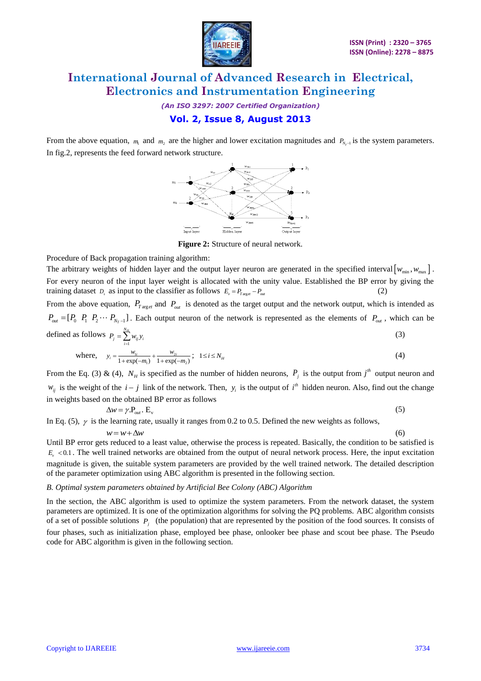

*(An ISO 3297: 2007 Certified Organization)* **Vol. 2, Issue 8, August 2013**

From the above equation,  $m_1$  and  $m_2$  are the higher and lower excitation magnitudes and  $P_{N_T-1}$  is the system parameters. In fig.2, represents the feed forward network structure.



**Figure 2:** Structure of neural network.

Procedure of Back propagation training algorithm:

The arbitrary weights of hidden layer and the output layer neuron are generated in the specified interval  $[w_{min}, w_{max}]$ . For every neuron of the input layer weight is allocated with the unity value. Established the BP error by giving the training dataset  $D_s$  as input to the classifier as follows  $E_v = P_{T \text{age}} - P_{out}$ (2)

From the above equation,  $P_{T \text{ arg } et}$  and  $P_{out}$  is denoted as the target output and the network output, which is intended as  $P_{out} = [P_0 \ P_1 \ P_2 \cdots P_{N_T-1}]$ . Each output neuron of the network is represented as the elements of  $P_{out}$ , which can be defined as follows 1 *N<sup>H</sup>*  $P_j = \sum_{i=1}^{n} w_{ij} y_i$ (3)

where, 
$$
y_i = \frac{w_{1i}}{1 + \exp(-m_1)} + \frac{w_{2i}}{1 + \exp(-m_2)}
$$
;  $1 \le i \le N_H$  (4)

From the Eq. (3) & (4),  $N_H$  is specified as the number of hidden neurons,  $P_j$  is the output from  $j^h$  output neuron and  $w_{ij}$  is the weight of the  $i - j$  link of the network. Then,  $y_i$  is the output of  $i^h$  hidden neuron. Also, find out the change in weights based on the obtained BP error as follows

$$
\Delta w = \gamma P_{out} . E_{v}
$$
 (5)

In Eq. (5),  $\gamma$  is the learning rate, usually it ranges from 0.2 to 0.5. Defined the new weights as follows,

$$
w = w + \Delta w
$$

(6)

Until BP error gets reduced to a least value, otherwise the process is repeated. Basically, the condition to be satisfied is  $E<sub>v</sub>$  <0.1. The well trained networks are obtained from the output of neural network process. Here, the input excitation magnitude is given, the suitable system parameters are provided by the well trained network. The detailed description of the parameter optimization using ABC algorithm is presented in the following section.

#### *B. Optimal system parameters obtained by Artificial Bee Colony (ABC) Algorithm*

In the section, the ABC algorithm is used to optimize the system parameters. From the network dataset, the system parameters are optimized. It is one of the optimization algorithms for solving the PQ problems. ABC algorithm consists of a set of possible solutions *Pj* (the population) that are represented by the position of the food sources. It consists of four phases, such as initialization phase, employed bee phase, onlooker bee phase and scout bee phase. The Pseudo code for ABC algorithm is given in the following section.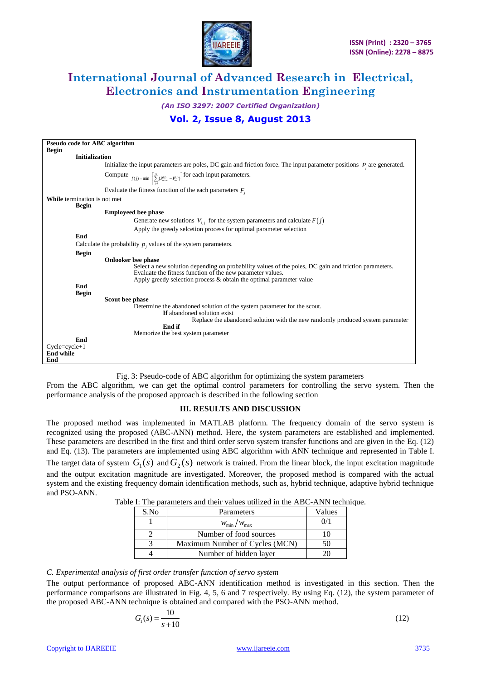

*(An ISO 3297: 2007 Certified Organization)*

### **Vol. 2, Issue 8, August 2013**

| <b>Pseudo code for ABC algorithm</b>                                                                                                                                                                                                                                      |                                                                                                                           |  |  |  |  |  |  |  |
|---------------------------------------------------------------------------------------------------------------------------------------------------------------------------------------------------------------------------------------------------------------------------|---------------------------------------------------------------------------------------------------------------------------|--|--|--|--|--|--|--|
| <b>Begin</b>                                                                                                                                                                                                                                                              |                                                                                                                           |  |  |  |  |  |  |  |
| <b>Initialization</b>                                                                                                                                                                                                                                                     |                                                                                                                           |  |  |  |  |  |  |  |
|                                                                                                                                                                                                                                                                           | Initialize the input parameters are poles, DC gain and friction force. The input parameter positions $P_i$ are generated. |  |  |  |  |  |  |  |
| Compute $f(j) = \min \left[ \sum_{i=1}^{N} (P_{\text{area}}^{(j)} - P_{\text{cor}}^{(j)}) \right]$ for each input parameters.                                                                                                                                             |                                                                                                                           |  |  |  |  |  |  |  |
| Evaluate the fitness function of the each parameters $F_i$                                                                                                                                                                                                                |                                                                                                                           |  |  |  |  |  |  |  |
| <b>While</b> termination is not met                                                                                                                                                                                                                                       |                                                                                                                           |  |  |  |  |  |  |  |
| <b>Begin</b>                                                                                                                                                                                                                                                              |                                                                                                                           |  |  |  |  |  |  |  |
| <b>Employeed bee phase</b>                                                                                                                                                                                                                                                |                                                                                                                           |  |  |  |  |  |  |  |
| Generate new solutions $V_{i,j}$ for the system parameters and calculate $F(j)$                                                                                                                                                                                           |                                                                                                                           |  |  |  |  |  |  |  |
| Apply the greedy selection process for optimal parameter selection                                                                                                                                                                                                        |                                                                                                                           |  |  |  |  |  |  |  |
| End                                                                                                                                                                                                                                                                       |                                                                                                                           |  |  |  |  |  |  |  |
| Calculate the probability $p_i$ , values of the system parameters.                                                                                                                                                                                                        |                                                                                                                           |  |  |  |  |  |  |  |
| <b>Begin</b>                                                                                                                                                                                                                                                              |                                                                                                                           |  |  |  |  |  |  |  |
| <b>Onlooker</b> bee phase<br>Select a new solution depending on probability values of the poles, DC gain and friction parameters.<br>Evaluate the fitness function of the new parameter values.<br>Apply greedy selection process $\&$ obtain the optimal parameter value |                                                                                                                           |  |  |  |  |  |  |  |
| End                                                                                                                                                                                                                                                                       |                                                                                                                           |  |  |  |  |  |  |  |
| <b>Begin</b>                                                                                                                                                                                                                                                              |                                                                                                                           |  |  |  |  |  |  |  |
| Scout bee phase                                                                                                                                                                                                                                                           |                                                                                                                           |  |  |  |  |  |  |  |
| Determine the abandoned solution of the system parameter for the scout.                                                                                                                                                                                                   |                                                                                                                           |  |  |  |  |  |  |  |
| <b>If</b> abandoned solution exist                                                                                                                                                                                                                                        |                                                                                                                           |  |  |  |  |  |  |  |
| Replace the abandoned solution with the new randomly produced system parameter<br>End if                                                                                                                                                                                  |                                                                                                                           |  |  |  |  |  |  |  |
| Memorize the best system parameter                                                                                                                                                                                                                                        |                                                                                                                           |  |  |  |  |  |  |  |
| End                                                                                                                                                                                                                                                                       |                                                                                                                           |  |  |  |  |  |  |  |
| $C$ ycle=cycle+1                                                                                                                                                                                                                                                          |                                                                                                                           |  |  |  |  |  |  |  |
| <b>End while</b>                                                                                                                                                                                                                                                          |                                                                                                                           |  |  |  |  |  |  |  |
| End                                                                                                                                                                                                                                                                       |                                                                                                                           |  |  |  |  |  |  |  |

Fig. 3: Pseudo-code of ABC algorithm for optimizing the system parameters

From the ABC algorithm, we can get the optimal control parameters for controlling the servo system. Then the performance analysis of the proposed approach is described in the following section

### **III. RESULTS AND DISCUSSION**

The proposed method was implemented in MATLAB platform. The frequency domain of the servo system is recognized using the proposed (ABC-ANN) method. Here, the system parameters are established and implemented. These parameters are described in the first and third order servo system transfer functions and are given in the Eq. (12) and Eq. (13). The parameters are implemented using ABC algorithm with ANN technique and represented in Table I.

The target data of system  $G_1(s)$  and  $G_2(s)$  network is trained. From the linear block, the input excitation magnitude and the output excitation magnitude are investigated. Moreover, the proposed method is compared with the actual system and the existing frequency domain identification methods, such as, hybrid technique, adaptive hybrid technique and PSO-ANN.

Table I: The parameters and their values utilized in the ABC-ANN technique.

| S.No | Parameters                     | Values |
|------|--------------------------------|--------|
|      | $W_{\rm min}/W_{\rm max}$      | 0/1    |
|      | Number of food sources         |        |
|      | Maximum Number of Cycles (MCN) |        |
|      | Number of hidden layer         |        |

### *C. Experimental analysis of first order transfer function of servo system*

The output performance of proposed ABC-ANN identification method is investigated in this section. Then the performance comparisons are illustrated in Fig. 4, 5, 6 and 7 respectively. By using Eq. (12), the system parameter of the proposed ABC-ANN technique is obtained and compared with the PSO-ANN method.

$$
G_1(s) = \frac{10}{s+10}
$$
 (12)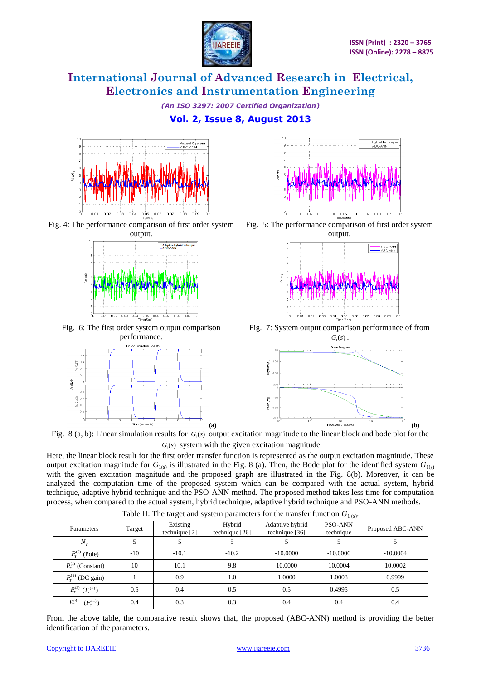

*(An ISO 3297: 2007 Certified Organization)*

### **Vol. 2, Issue 8, August 2013**



Fig. 4: The performance comparison of first order system output.



Fig. 6: The first order system output comparison performance.





Fig. 5: The performance comparison of first order system output.



Fig. 7: System output comparison performance of from  $G_{1}(s)$ 



Fig.  $8$  (a, b): Linear simulation results for  $G<sub>1</sub>(s)$  output excitation magnitude to the linear block and bode plot for the  $G<sub>1</sub>(s)$  system with the given excitation magnitude

Here, the linear block result for the first order transfer function is represented as the output excitation magnitude. These output excitation magnitude for  $G_{1(s)}$  is illustrated in the Fig. 8 (a). Then, the Bode plot for the identified system  $G_{1(s)}$ with the given excitation magnitude and the proposed graph are illustrated in the Fig. 8(b). Moreover, it can be analyzed the computation time of the proposed system which can be compared with the actual system, hybrid technique, adaptive hybrid technique and the PSO-ANN method. The proposed method takes less time for computation process, when compared to the actual system, hybrid technique, adaptive hybrid technique and PSO-ANN methods.

| Parameters                                | Target | Existing      | Hybrid         | Adaptive hybrid | PSO-ANN    | Proposed ABC-ANN |
|-------------------------------------------|--------|---------------|----------------|-----------------|------------|------------------|
|                                           |        | technique [2] | technique [26] | technique [36]  | technique  |                  |
| $N_T$                                     |        |               |                |                 |            |                  |
| $P_T^{(0)}$ (Pole)                        | $-10$  | $-10.1$       | $-10.2$        | $-10,0000$      | $-10,0006$ | $-10,0004$       |
| $P_T^{(1)}$ (Constant)                    | 10     | 10.1          | 9.8            | 10.0000         | 10.0004    | 10.0002          |
| $P_T^{(2)}$ (DC gain)                     |        | 0.9           | 1.0            | 1.0000          | 1.0008     | 0.9999           |
| $P_T^{(3)}$ $(F_c^{(+)})$                 | 0.5    | 0.4           | 0.5            | 0.5             | 0.4995     | 0.5              |
| $P_T^{\left( 4\right) }$<br>$(F_c^{(-)})$ | 0.4    | 0.3           | 0.3            | 0.4             | 0.4        | 0.4              |

Table II: The target and system parameters for the transfer function  $G_{1(s)}$ .

From the above table, the comparative result shows that, the proposed (ABC-ANN) method is providing the better identification of the parameters.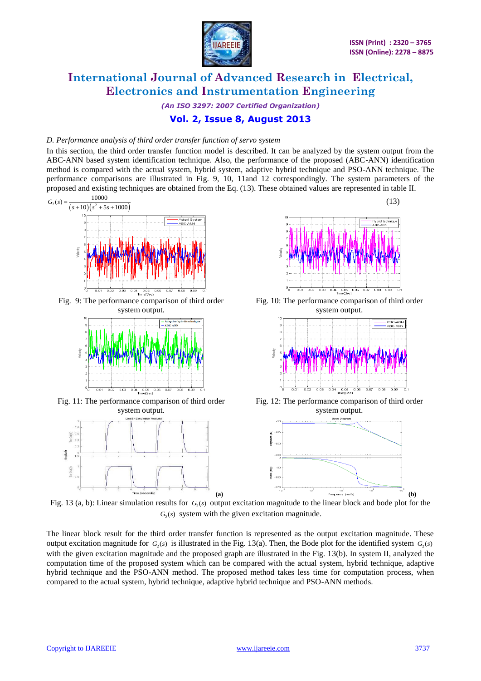

*(An ISO 3297: 2007 Certified Organization)* **Vol. 2, Issue 8, August 2013**

#### *D. Performance analysis of third order transfer function of servo system*

In this section, the third order transfer function model is described. It can be analyzed by the system output from the ABC-ANN based system identification technique. Also, the performance of the proposed (ABC-ANN) identification method is compared with the actual system, hybrid system, adaptive hybrid technique and PSO-ANN technique. The performance comparisons are illustrated in Fig. 9, 10, 11and 12 correspondingly. The system parameters of the proposed and existing techniques are obtained from the Eq. (13). These obtained values are represented in table II.



Fig. 13 (a, b): Linear simulation results for  $G_2(s)$  output excitation magnitude to the linear block and bode plot for the  $G<sub>2</sub>(s)$  system with the given excitation magnitude.

The linear block result for the third order transfer function is represented as the output excitation magnitude. These output excitation magnitude for  $G_2(s)$  is illustrated in the Fig. 13(a). Then, the Bode plot for the identified system  $G_2(s)$ with the given excitation magnitude and the proposed graph are illustrated in the Fig. 13(b). In system II, analyzed the computation time of the proposed system which can be compared with the actual system, hybrid technique, adaptive hybrid technique and the PSO-ANN method. The proposed method takes less time for computation process, when compared to the actual system, hybrid technique, adaptive hybrid technique and PSO-ANN methods.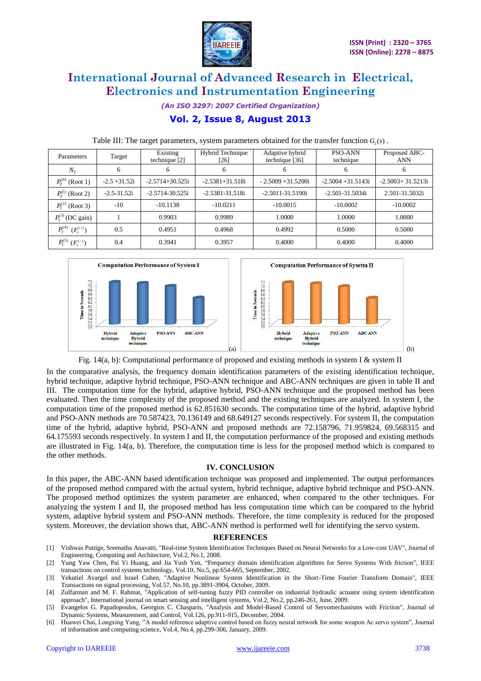

*(An ISO 3297: 2007 Certified Organization)*

## **Vol. 2, Issue 8, August 2013**

|                                              |                 | ັ                         |                            |                                   |                             | $\lambda \sim \lambda$      |
|----------------------------------------------|-----------------|---------------------------|----------------------------|-----------------------------------|-----------------------------|-----------------------------|
| Parameters                                   | Target          | Existing<br>technique [2] | Hybrid Technique<br>$[26]$ | Adaptive hybrid<br>technique [36] | <b>PSO-ANN</b><br>technique | Proposed ABC-<br><b>ANN</b> |
| $N_T$                                        | 6               | 6                         | 6                          | 6                                 | 6                           | 6                           |
| $P^{(0)}_{\scriptscriptstyle T}$<br>(Root 1) | $-2.5 + 31.52i$ | $-2.5714 + 30.525i$       | $-2.5381 + 31.518i$        | $-2.5009 + 31.5200i$              | $-2.5004 + 31.5143i$        | $-2.5003 + 31.5213i$        |
| $P_{\rm r}^{(1)}$ (Root 2)                   | $-2.5 - 31.52i$ | $-2.5714 - 30.525i$       | $-2.5381 - 31.518i$        | $-2.5011 - 31.5190i$              | $-2.501 - 31.5034i$         | 2.501-31.5032i              |
| $P_T^{(2)}$ (Root 3)                         | $-10$           | $-10.1138$                | $-10.0211$                 | $-10.0015$                        | $-10.0002$                  | $-10.0002$                  |
| $P_T^{(3)}$ (DC gain)                        |                 | 0.9903                    | 0.9989                     | 1.0000                            | 1.0000                      | 1.0000                      |
| $P_T^{(4)}$ $(F_c^{(+)})$                    | 0.5             | 0.4951                    | 0.4968                     | 0.4992                            | 0.5000                      | 0.5000                      |
| $P_T^{(5)}$ $(F_c^{(-)})$                    | 0.4             | 0.3941                    | 0.3957                     | 0.4000                            | 0.4000                      | 0.4000                      |

### Table III: The target parameters, system parameters obtained for the transfer function  $G_2(s)$ .



Fig. 14(a, b): Computational performance of proposed and existing methods in system I & system II

In the comparative analysis, the frequency domain identification parameters of the existing identification technique, hybrid technique, adaptive hybrid technique, PSO-ANN technique and ABC-ANN techniques are given in table II and III. The computation time for the hybrid, adaptive hybrid, PSO-ANN technique and the proposed method has been evaluated. Then the time complexity of the proposed method and the existing techniques are analyzed. In system I, the computation time of the proposed method is 62.851630 seconds. The computation time of the hybrid, adaptive hybrid and PSO-ANN methods are 70.587423, 70.136149 and 68.649127 seconds respectively. For system II, the computation time of the hybrid, adaptive hybrid, PSO-ANN and proposed methods are 72.158796, 71.959824, 69.568315 and 64.175593 seconds respectively. In system I and II, the computation performance of the proposed and existing methods are illustrated in Fig. 14(a, b). Therefore, the computation time is less for the proposed method which is compared to the other methods.

#### **IV. CONCLUSION**

In this paper, the ABC-ANN based identification technique was proposed and implemented. The output performances of the proposed method compared with the actual system, hybrid technique, adaptive hybrid technique and PSO-ANN. The proposed method optimizes the system parameter are enhanced, when compared to the other techniques. For analyzing the system I and II, the proposed method has less computation time which can be compared to the hybrid system, adaptive hybrid system and PSO-ANN methods. Therefore, the time complexity is reduced for the proposed system. Moreover, the deviation shows that, ABC-ANN method is performed well for identifying the servo system.

#### **REFERENCES**

- [1] Vishwas Puttige, Sreenatha Anavatti, "Real-time System Identification Techniques Based on Neural Networks for a Low-cost UAV", Journal of Engineering, Computing and Architecture, Vol.2, No.1, 2008.
- [2] Yung Yaw Chen, Pai Yi Huang, and Jia Yush Yen, "Frequency domain identification algorithms for Servo Systems With friction", IEEE transactions on control systems technology, Vol.10, No.5, pp.654-665, September, 2002.
- [3] Yekutiel Avargel and Israel Cohen, "Adaptive Nonlinear System Identification in the Short-Time Fourier Transform Domain", IEEE Transactions on signal processing, Vol.57, No.10, pp.3891-3904, October, 2009.
- [4] Zulfatman and M. F. Rahmat, "Application of self-tuning fuzzy PID controller on industrial hydraulic actuator using system identification approach", International journal on smart sensing and intelligent systems, Vol.2, No.2, pp.246-261, June, 2009.
- [5] Evangelos G. Papadopoulos, Georgios C. Chasparis, "Analysis and Model-Based Control of Servomechanisms with Friction", Journal of Dynamic Systems, Measurement, and Control, Vol.126, pp.911-915, December, 2004.
- [6] Huawei Chai, Longxing Yang, "A model reference adaptive control based on fuzzy neural network for some weapon Ac servo system", Journal of information and computing science, Vol.4, No.4, pp.299-306, January, 2009.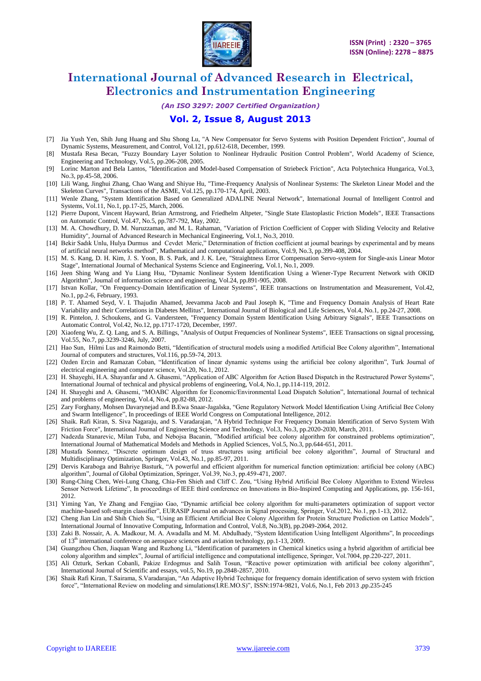

*(An ISO 3297: 2007 Certified Organization)*

### **Vol. 2, Issue 8, August 2013**

- [7] Jia Yush Yen, Shih Jung Huang and Shu Shong Lu, "A New Compensator for Servo Systems with Position Dependent Friction", Journal of Dynamic Systems, Measurement, and Control, Vol.121, pp.612-618, December, 1999.
- [8] Mustafa Resa Becan, "Fuzzy Boundary Layer Solution to Nonlinear Hydraulic Position Control Problem", World Academy of Science, Engineering and Technology, Vol.5, pp.206-208, 2005.
- [9] Lorinc Marton and Bela Lantos, "Identification and Model-based Compensation of Striebeck Friction", Acta Polytechnica Hungarica, Vol.3, No.3, pp.45-58, 2006.
- [10] Lili Wang, Jinghui Zhang, Chao Wang and Shiyue Hu, "Time-Frequency Analysis of Nonlinear Systems: The Skeleton Linear Model and the Skeleton Curves", Transactions of the ASME, Vol.125, pp.170-174, April, 2003.
- [11] Wenle Zhang, "System Identification Based on Generalized ADALINE Neural Network", International Journal of Intelligent Control and Systems, Vol.11, No.1, pp.17-25, March, 2006.
- [12] Pierre Dupont, Vincent Hayward, Brian Armstrong, and Friedhelm Altpeter, "Single State Elastoplastic Friction Models", IEEE Transactions on Automatic Control, Vol.47, No.5, pp.787-792, May, 2002.
- [13] M. A. Chowdhury, D. M. Nuruzzaman, and M. L. Rahaman, "Variation of Friction Coefficient of Copper with Sliding Velocity and Relative Humidity", Journal of Advanced Research in Mechanical Engineering, Vol.1, No.3, 2010.
- [14] Bekir Sadık Unlu, Hulya Durmus and Cevdet Meric," Determination of friction coefficient at journal bearings by experimental and by means of artificial neural networks method", Mathematical and computational applications, Vol.9, No.3, pp.399-408, 2004.
- [15] M. S. Kang, D. H. Kim, J. S. Yoon, B. S. Park, and J. K. Lee, "Straightness Error Compensation Servo-system for Single-axis Linear Motor Stage", International Journal of Mechanical Systems Science and Engineering, Vol.1, No.1, 2009.
- [16] Jeen Shing Wang and Yu Liang Hsu, "Dynamic Nonlinear System Identification Using a Wiener-Type Recurrent Network with OKID Algorithm", Journal of information science and engineering, Vol.24, pp.891-905, 2008.
- [17] Istvan Kollar, "On Frequency-Domain Identification of Linear Systems", IEEE transactions on Instrumentation and Measurement, Vol.42, No.1, pp.2-6, February, 1993.
- [18] P. T. Ahamed Seyd, V. I. Thajudin Ahamed, Jeevamma Jacob and Paul Joseph K, "Time and Frequency Domain Analysis of Heart Rate Variability and their Correlations in Diabetes Mellitus", International Journal of Biological and Life Sciences, Vol.4, No.1, pp.24-27, 2008.
- [19] R. Pintelon, J. Schoukens, and G. Vandersteen, "Frequency Domain System Identification Using Arbitrary Signals", IEEE Transactions on Automatic Control, Vol.42, No.12, pp.1717-1720, December, 1997.
- [20] Xiaofeng Wu, Z. Q. Lang, and S. A. Billings, "Analysis of Output Frequencies of Nonlinear Systems", IEEE Transactions on signal processing, Vol.55, No.7, pp.3239-3246, July, 2007.
- [21] Hao Sun, Hilmi Lus and Raimondo Betti, "Identification of structural models using a modified Artificial Bee Colony algorithm", International Journal of computers and structures, Vol.116, pp.59-74, 2013.
- [22] Ozden Ercin and Ramazan Coban, "Identification of linear dynamic systems using the artificial bee colony algorithm", Turk Journal of electrical engineering and computer science, Vol.20, No.1, 2012.
- [23] H. Shayeghi, H.A. Shayanfar and A. Ghasemi, "Application of ABC Algorithm for Action Based Dispatch in the Restructured Power Systems", International Journal of technical and physical problems of engineering, Vol.4, No.1, pp.114-119, 2012.
- [24] H. Shayeghi and A. Ghasemi, "MOABC Algorithm for Economic/Environmental Load Dispatch Solution", International Journal of technical and problems of engineering, Vol.4, No.4, pp.82-88, 2012.
- [25] Zary Forghany, Mohsen Davarynejad and B.Ewa Snaar-Jagalska, "Gene Regulatory Network Model Identification Using Artificial Bee Colony and Swarm Intelligence", In proceedings of IEEE World Congress on Computational Intelligence, 2012.
- [26] Shaik. Rafi Kiran, S. Siva Nagaraju, and S. Varadarajan, "A Hybrid Technique For Frequency Domain Identification of Servo System With Friction Force", International Journal of Engineering Science and Technology, Vol.3, No.3, pp.2020-2030, March, 2011.
- [27] Nadezda Stanarevic, Milan Tuba, and Nebojsa Bacanin, "Modified artificial bee colony algorithm for constrained problems optimization", International Journal of Mathematical Models and Methods in Applied Sciences, Vol.5, No.3, pp.644-651, 2011.
- [28] Mustafa Sonmez, "Discrete optimum design of truss structures using artificial bee colony algorithm", Journal of Structural and Multidisciplinary Optimization, Springer, Vol.43, No.1, pp.85-97, 2011.
- [29] Dervis Karaboga and Bahriye Basturk, "A powerful and efficient algorithm for numerical function optimization: artificial bee colony (ABC) algorithm", Journal of Global Optimization, Springer, Vol.39, No.3, pp.459-471, 2007.
- [30] Rung-Ching Chen, Wei-Lung Chang, Chia-Fen Shieh and Cliff C. Zou, "Using Hybrid Artificial Bee Colony Algorithm to Extend Wireless Sensor Network Lifetime", In proceedings of IEEE third conference on Innovations in Bio-Inspired Computing and Applications, pp. 156-161, 2012.
- [31] Yiming Yan, Ye Zhang and Fengjiao Gao, "Dynamic artificial bee colony algorithm for multi-parameters optimization of support vector machine-based soft-margin classifier", EURASIP Journal on advances in Signal processing, Springer, Vol.2012, No.1, pp.1-13, 2012.
- [32] Cheng Jian Lin and Shih Chieh Su, "Using an Efficient Artificial Bee Colony Algorithm for Protein Structure Prediction on Lattice Models", International Journal of Innovative Computing, Information and Control, Vol.8, No.3(B), pp.2049-2064, 2012.
- [33] Zaki B. Nossair, A. A. Madkour, M. A. Awadalla and M. M. Abdulhady, "System Identification Using Intelligent Algorithms", In proceedings of 13<sup>th</sup> international conference on aerospace sciences and aviation technology, pp.1-13, 2009.
- [34] Guangzhou Chen, Jiaquan Wang and Ruzhong Li, "Identification of parameters in Chemical kinetics using a hybrid algorithm of artificial bee colony algorithm and simplex", Journal of artificial intelligence and computational intelligence, Springer, Vol.7004, pp.220-227, 2011.
- [35] Ali Ozturk, Serkan Cobanli, Pakize Erdogmus and Salih Tosun, "Reactive power optimization with artificial bee colony algorithm", International Journal of Scientific and essays, vol.5, No.19, pp.2848-2857, 2010.
- [36] Shaik Rafi Kiran, T.Sairama, S.Varadarajan, "An Adaptive Hybrid Technique for frequency domain identification of servo system with friction force", "International Review on modeling and simulations(I.RE.MO.S)", ISSN:1974-9821, Vol.6, No.1, Feb 2013 ,pp.235-245